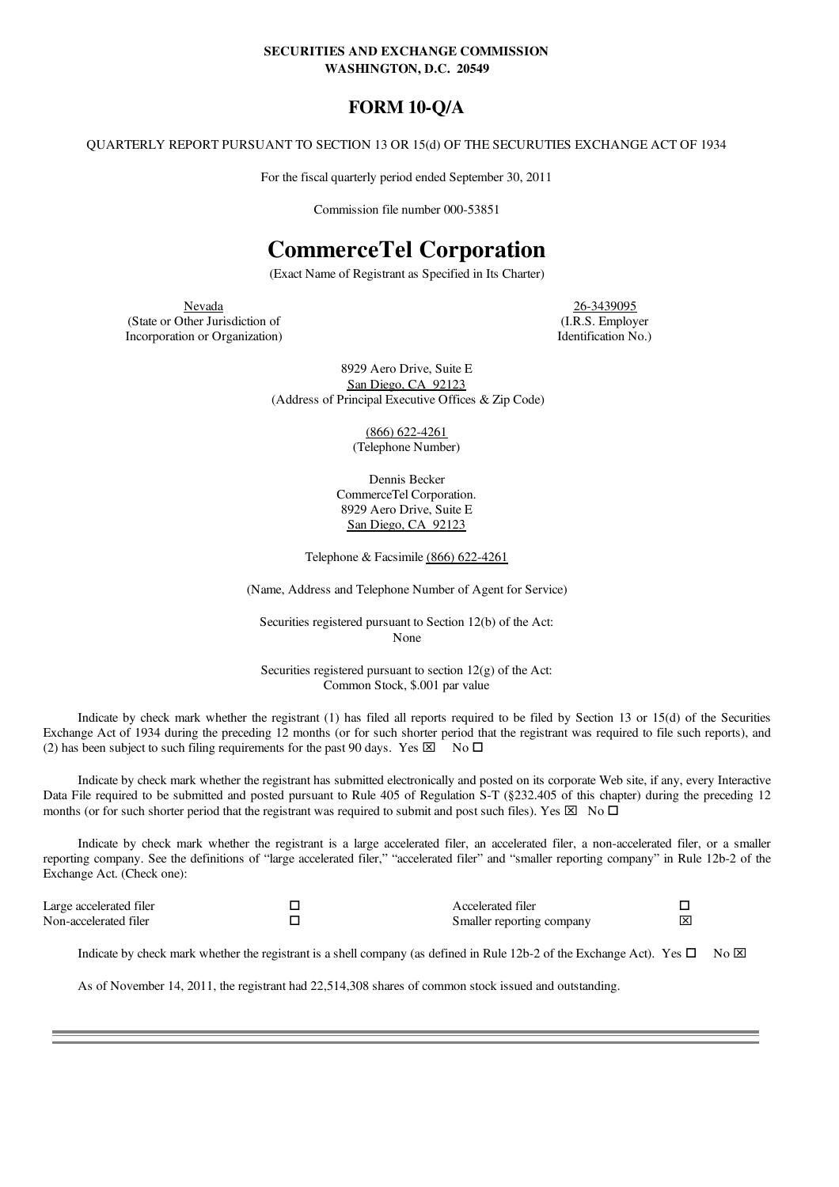#### SECURITIES AND EXCHANGE COMMISSION WASHINGTON, D.C. 20549

# FORM 10-Q/A

QUARTERLY REPORT PURSUANT TO SECTION 13 OR 15(d) OF THE SECURUTIES EXCHANGE ACT OF 1934

For the fiscal quarterly period ended September 30, 2011

Commission file number 000-53851

# CommerceTel Corporation

(Exact Name of Registrant as Specified in Its Charter)

Nevada<br>
26-3439095<br>
ther Jurisdiction of (I.R.S. Employer (State or Other Jurisdiction of (I.R.S. Employer) (I.R.S. Employer<br>Incorporation or Organization) (I.R.S. Employer Incorporation or Organization)

8929 Aero Drive, Suite E San Diego, CA 92123 (Address of Principal Executive Offices & Zip Code)

> (866) 622-4261 (Telephone Number)

Dennis Becker CommerceTel Corporation. 8929 Aero Drive, Suite E San Diego, CA 92123

Telephone & Facsimile (866) 622-4261

(Name, Address and Telephone Number of Agent for Service)

Securities registered pursuant to Section 12(b) of the Act: None

Securities registered pursuant to section  $12(g)$  of the Act: Common Stock, \$.001 par value

Indicate by check mark whether the registrant (1) has filed all reports required to be filed by Section 13 or 15(d) of the Securities Exchange Act of 1934 during the preceding 12 months (or for such shorter period that the registrant was required to file such reports), and (2) has been subject to such filing requirements for the past 90 days. Yes  $\boxtimes \overline{\phantom{a}}$  No  $\Box$ 

Indicate by check mark whether the registrant has submitted electronically and posted on its corporate Web site, if any, every Interactive Data File required to be submitted and posted pursuant to Rule 405 of Regulation S-T (§232.405 of this chapter) during the preceding 12 months (or for such shorter period that the registrant was required to submit and post such files). Yes  $\boxtimes$  No  $\square$ 

Indicate by check mark whether the registrant is a large accelerated filer, an accelerated filer, a non-accelerated filer, or a smaller reporting company. See the definitions of "large accelerated filer," "accelerated filer" and "smaller reporting company" in Rule 12b-2 of the Exchange Act. (Check one):

| Large accelerated filer | Accelerated filer         |     |
|-------------------------|---------------------------|-----|
| Non-accelerated filer   | Smaller reporting company | 1ि× |

Indicate by check mark whether the registrant is a shell company (as defined in Rule 12b-2 of the Exchange Act). Yes  $\Box$  No  $\boxtimes$ 

As of November 14, 2011, the registrant had 22,514,308 shares of common stock issued and outstanding.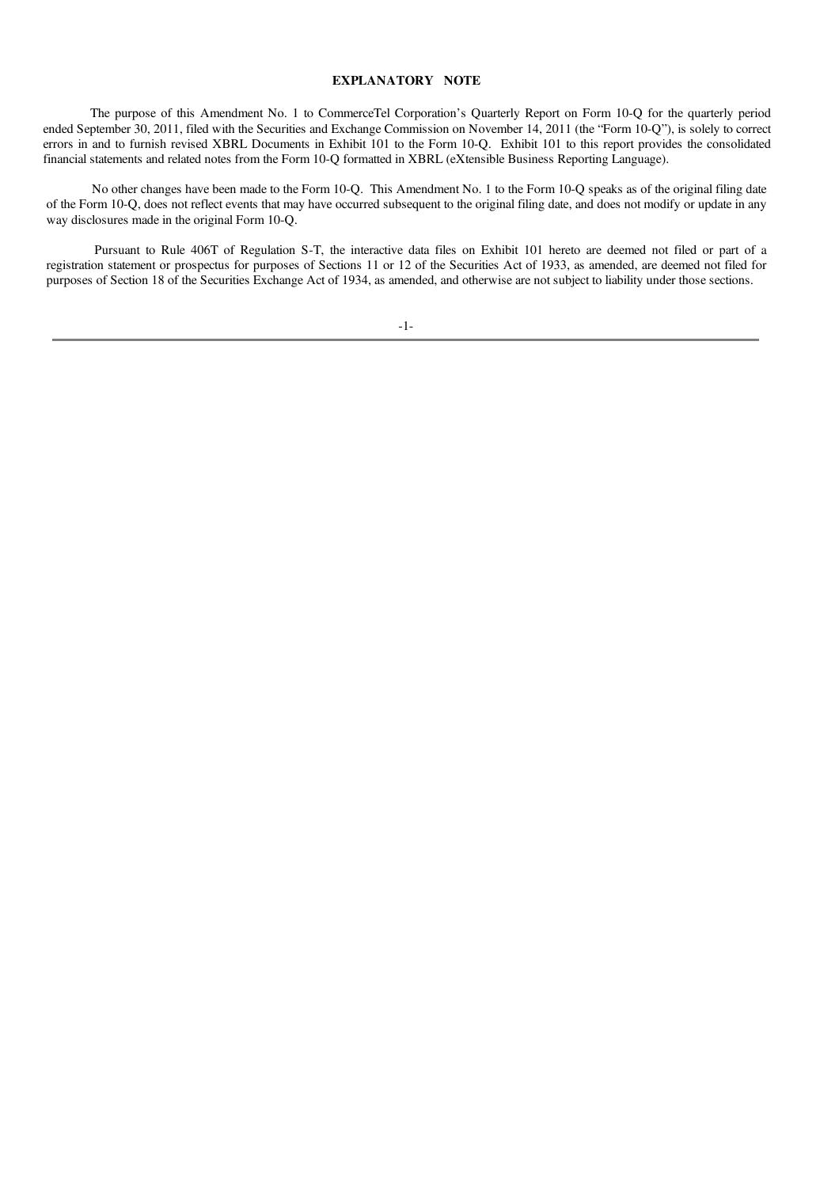#### <span id="page-1-0"></span>EXPLANATORY NOTE

The purpose of this Amendment No. 1 to CommerceTel Corporation's Quarterly Report on Form 10-Q for the quarterly period ended September 30, 2011, filed with the Securities and Exchange Commission on November 14, 2011 (the "Form 10-Q"), is solely to correct errors in and to furnish revised XBRL Documents in Exhibit 101 to the Form 10-Q. Exhibit 101 to this report provides the consolidated financial statements and related notes from the Form 10-Q formatted in XBRL (eXtensible Business Reporting Language).

No other changes have been made to the Form 10-Q. This Amendment No. 1 to the Form 10-Q speaks as of the original filing date of the Form 10-Q, does not reflect events that may have occurred subsequent to the original filing date, and does not modify or update in any way disclosures made in the original Form 10-Q.

Pursuant to Rule 406T of Regulation S-T, the interactive data files on Exhibit 101 hereto are deemed not filed or part of a registration statement or prospectus for purposes of Sections 11 or 12 of the Securities Act of 1933, as amended, are deemed not filed for purposes of Section 18 of the Securities Exchange Act of 1934, as amended, and otherwise are not subject to liability under those sections.

-1-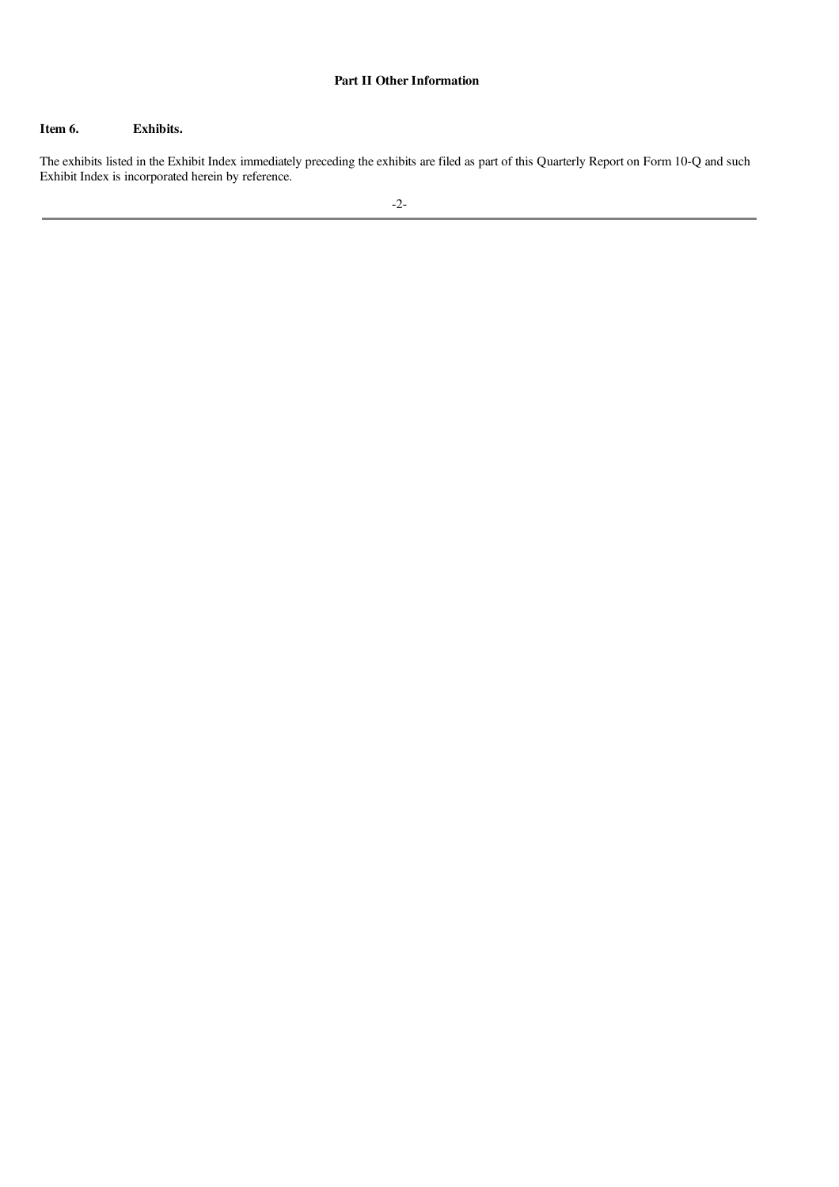#### Part II Other Information

#### Item 6. Exhibits.

The exhibits listed in the Exhibit Index immediately preceding the exhibits are filed as part of this Quarterly Report on Form 10-Q and such Exhibit Index is incorporated herein by reference.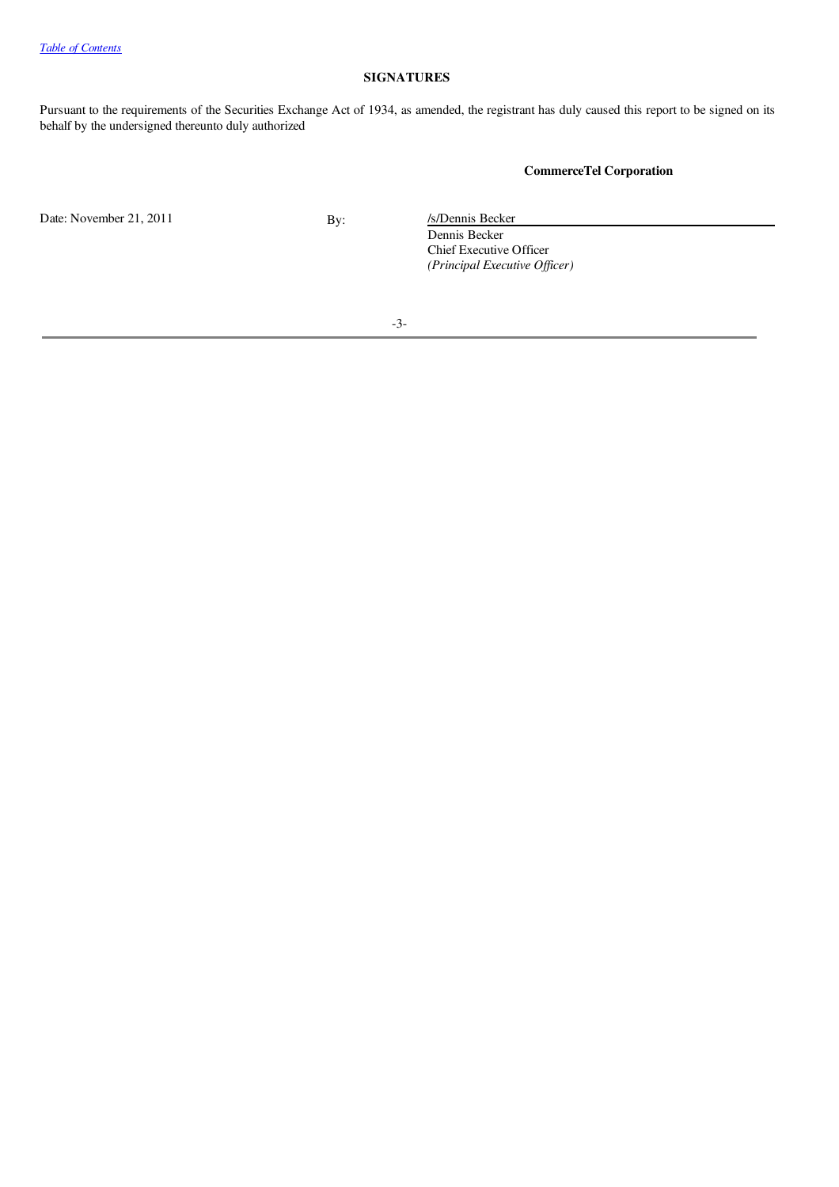### SIGNATURES

Pursuant to the requirements of the Securities Exchange Act of 1934, as amended, the registrant has duly caused this report to be signed on its behalf by the undersigned thereunto duly authorized

# CommerceTel Corporation

Date: November 21, 2011 By: /s/Dennis Becker

Dennis Becker Chief Executive Officer *(Principal Executive Of icer)*

-3-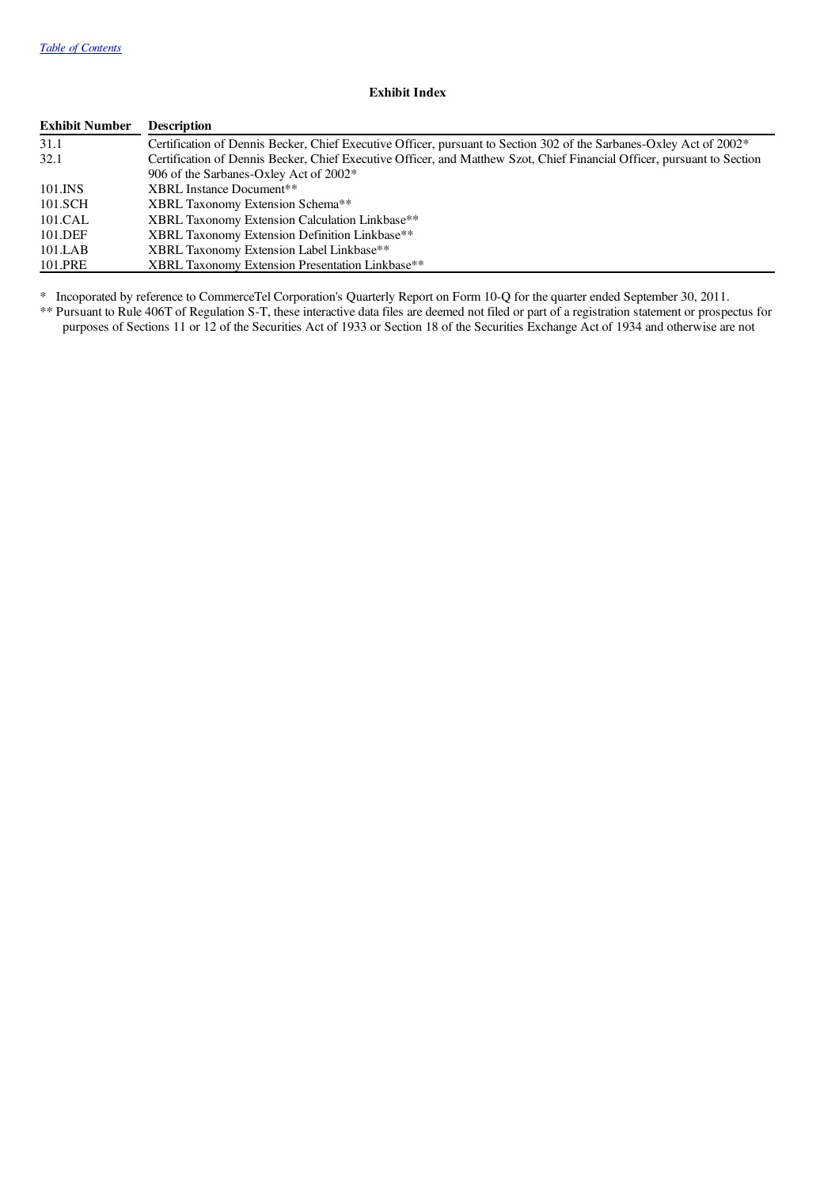# Exhibit Index

| <b>Exhibit Number</b> | <b>Description</b>                                                                                                      |
|-----------------------|-------------------------------------------------------------------------------------------------------------------------|
| 31.1                  | Certification of Dennis Becker, Chief Executive Officer, pursuant to Section 302 of the Sarbanes-Oxley Act of 2002*     |
| 32.1                  | Certification of Dennis Becker, Chief Executive Officer, and Matthew Szot, Chief Financial Officer, pursuant to Section |
|                       | 906 of the Sarbanes-Oxley Act of 2002*                                                                                  |
| 101.INS               | XBRL Instance Document**                                                                                                |
| 101.SCH               | <b>XBRL Taxonomy Extension Schema**</b>                                                                                 |
| 101.CAL               | XBRL Taxonomy Extension Calculation Linkbase**                                                                          |
| 101.DEF               | XBRL Taxonomy Extension Definition Linkbase**                                                                           |
| 101.LAB               | XBRL Taxonomy Extension Label Linkbase**                                                                                |
| 101.PRE               | XBRL Taxonomy Extension Presentation Linkbase**                                                                         |

\* Incoporated by reference to CommerceTel Corporation's Quarterly Report on Form 10-Q for the quarter ended September 30, 2011.

\*\* Pursuant to Rule 406T of Regulation S-T, these interactive data files are deemed not filed or part of a registration statement or prospectus for purposes of Sections 11 or 12 of the Securities Act of 1933 or Section 18 of the Securities Exchange Act of 1934 and otherwise are not